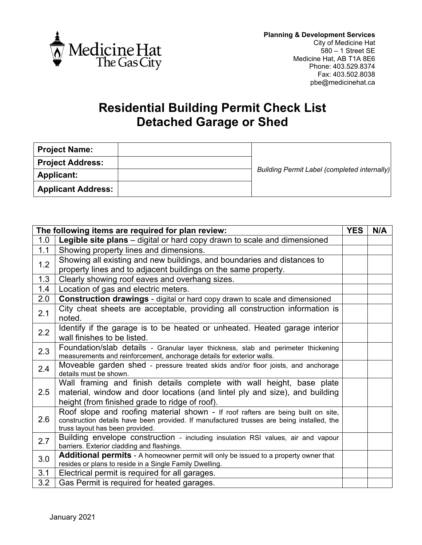

## **Residential Building Permit Check List Detached Garage or Shed**

| <b>Project Name:</b>      |                                                     |  |  |
|---------------------------|-----------------------------------------------------|--|--|
| <b>Project Address:</b>   |                                                     |  |  |
| <b>Applicant:</b>         | <b>Building Permit Label (completed internally)</b> |  |  |
| <b>Applicant Address:</b> |                                                     |  |  |

| The following items are required for plan review: |                                                                                                                                                                                                                  | <b>YES</b> | N/A |
|---------------------------------------------------|------------------------------------------------------------------------------------------------------------------------------------------------------------------------------------------------------------------|------------|-----|
| 1.0                                               | Legible site plans – digital or hard copy drawn to scale and dimensioned                                                                                                                                         |            |     |
| 1.1                                               | Showing property lines and dimensions.                                                                                                                                                                           |            |     |
| 1.2                                               | Showing all existing and new buildings, and boundaries and distances to<br>property lines and to adjacent buildings on the same property.                                                                        |            |     |
| 1.3                                               | Clearly showing roof eaves and overhang sizes.                                                                                                                                                                   |            |     |
| 1.4                                               | Location of gas and electric meters.                                                                                                                                                                             |            |     |
| 2.0                                               | <b>Construction drawings</b> - digital or hard copy drawn to scale and dimensioned                                                                                                                               |            |     |
| 2.1                                               | City cheat sheets are acceptable, providing all construction information is<br>noted.                                                                                                                            |            |     |
| 2.2                                               | Identify if the garage is to be heated or unheated. Heated garage interior<br>wall finishes to be listed.                                                                                                        |            |     |
| 2.3                                               | Foundation/slab details - Granular layer thickness, slab and perimeter thickening<br>measurements and reinforcement, anchorage details for exterior walls.                                                       |            |     |
| 2.4                                               | Moveable garden shed - pressure treated skids and/or floor joists, and anchorage<br>details must be shown.                                                                                                       |            |     |
| 2.5                                               | Wall framing and finish details complete with wall height, base plate<br>material, window and door locations (and lintel ply and size), and building<br>height (from finished grade to ridge of roof).           |            |     |
| 2.6                                               | Roof slope and roofing material shown - If roof rafters are being built on site,<br>construction details have been provided. If manufactured trusses are being installed, the<br>truss layout has been provided. |            |     |
| 2.7                                               | Building envelope construction - including insulation RSI values, air and vapour<br>barriers. Exterior cladding and flashings.                                                                                   |            |     |
| 3.0                                               | <b>Additional permits</b> - A homeowner permit will only be issued to a property owner that<br>resides or plans to reside in a Single Family Dwelling.                                                           |            |     |
| 3.1                                               | Electrical permit is required for all garages.                                                                                                                                                                   |            |     |
| 3.2                                               | Gas Permit is required for heated garages.                                                                                                                                                                       |            |     |